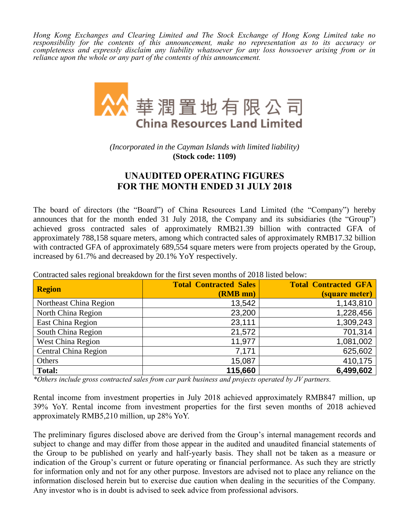*Hong Kong Exchanges and Clearing Limited and The Stock Exchange of Hong Kong Limited take no responsibility for the contents of this announcement, make no representation as to its accuracy or completeness and expressly disclaim any liability whatsoever for any loss howsoever arising from or in reliance upon the whole or any part of the contents of this announcement.*



*(Incorporated in the Cayman Islands with limited liability)* **(Stock code: 1109)**

## **UNAUDITED OPERATING FIGURES FOR THE MONTH ENDED 31 JULY 2018**

The board of directors (the "Board") of China Resources Land Limited (the "Company") hereby announces that for the month ended 31 July 2018, the Company and its subsidiaries (the "Group") achieved gross contracted sales of approximately RMB21.39 billion with contracted GFA of approximately 788,158 square meters, among which contracted sales of approximately RMB17.32 billion with contracted GFA of approximately 689,554 square meters were from projects operated by the Group, increased by 61.7% and decreased by 20.1% YoY respectively.

| <b>Region</b>               | <b>Total Contracted Sales</b> | <b>Total Contracted GFA</b> |
|-----------------------------|-------------------------------|-----------------------------|
|                             | (RMB mn)                      | <i>(square meter)</i>       |
| Northeast China Region      | 13,542                        | 1,143,810                   |
| North China Region          | 23,200                        | 1,228,456                   |
| East China Region           | 23,111                        | 1,309,243                   |
| South China Region          | 21,572                        | 701,314                     |
| <b>West China Region</b>    | 11,977                        | 1,081,002                   |
| <b>Central China Region</b> | 7,171                         | 625,602                     |
| Others                      | 15,087                        | 410,175                     |
| <b>Total:</b>               | 115,660                       | 6,499,602                   |

Contracted sales regional breakdown for the first seven months of 2018 listed below:

*\*Others include gross contracted sales from car park business and projects operated by JV partners.*

Rental income from investment properties in July 2018 achieved approximately RMB847 million, up 39% YoY. Rental income from investment properties for the first seven months of 2018 achieved approximately RMB5,210 million, up 28% YoY.

The preliminary figures disclosed above are derived from the Group's internal management records and subject to change and may differ from those appear in the audited and unaudited financial statements of the Group to be published on yearly and half-yearly basis. They shall not be taken as a measure or indication of the Group's current or future operating or financial performance. As such they are strictly for information only and not for any other purpose. Investors are advised not to place any reliance on the information disclosed herein but to exercise due caution when dealing in the securities of the Company. Any investor who is in doubt is advised to seek advice from professional advisors.